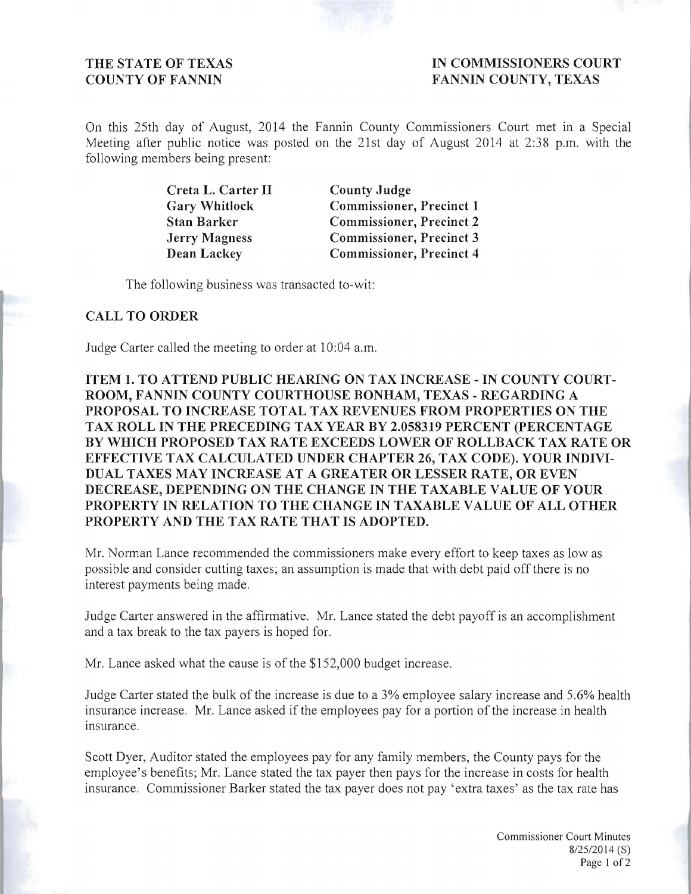THE STATE OF TEXAS **IN COMMISSIONERS COURT COUNTY OF FANNIN FANNIN FANNIN COUNTY, TEXAS** 

On this 25th day of August, 2014 the Fannin County Commissioners Court met in a Special Meeting after public notice was posted on the 21st day of August 2014 at 2:38 p.m. with the following members being present:

> **Creta L. Carter II County Judge Gary Whitlock Commissioner, Precinct 1 Stan Barker Commissioner, Precinct 2 Jerry Magness Commissioner, Precinct 3 Dean Lackey Commissioner, Precinct 4**

The following business was transacted to-wit:

## **CALL TO ORDER**

Judge Carter called the meeting to order at 10:04 a.m.

**ITEM 1. TO ATTEND PUBLIC HEARING ON TAX INCREASE - IN COUNTY COURT-ROOM, FANNIN COUNTY COURTHOUSE BONHAM, TEXAS - REGARDING A PROPOSAL TO INCREASE TOTAL TAX REVENUES FROM PROPERTIES ON THE TAX ROLL IN THE PRECEDING TAX YEAR BY 2.058319 PERCENT (PERCENTAGE**  BY WHICH PROPOSED TAX RATE EXCEEDS LOWER OF ROLLBACK TAX RATE OR **EFFECTIVE T AX CALCULATED UNDER CHAPTER 26, TAX CODE). YOUR INDIVI-DUAL TAXES MAY INCREASE AT A GREATER OR LESSER RATE, OR EVEN DECREASE, DEPENDING ON THE CHANGE IN THE TAXABLE VALUE OF YOUR PROPERTY IN RELATION TO THE CHANGE IN TAXABLE VALUE OF ALL OTHER PROPERTY AND THE TAX RATE THAT IS ADOPTED.** 

Mr. Norman Lance recommended the commissioners make every effort to keep taxes as low as possible and consider cutting taxes; an assumption is made that with debt paid off there is no interest payments being made.

Judge Carter answered in the affirmative. Mr. Lance stated the debt payoff is an accomplishment and a tax break to the tax payers is hoped for.

Mr. Lance asked what the cause is of the \$152,000 budget increase.

Judge Carter stated the bulk of the increase is due to a 3% employee salary increase and 5.6% health **insurance increase. Mr. Lance asked if the employees pay for a portion of the increase in health**  insurance.

Scott Dyer, Auditor stated the employees pay for any family members, the County pays for the employee's benefits; Mr. Lance stated the tax payer then pays for the increase in costs for health insurance. Commissioner Barker stated the tax payer does not pay 'extra taxes' as the tax rate has